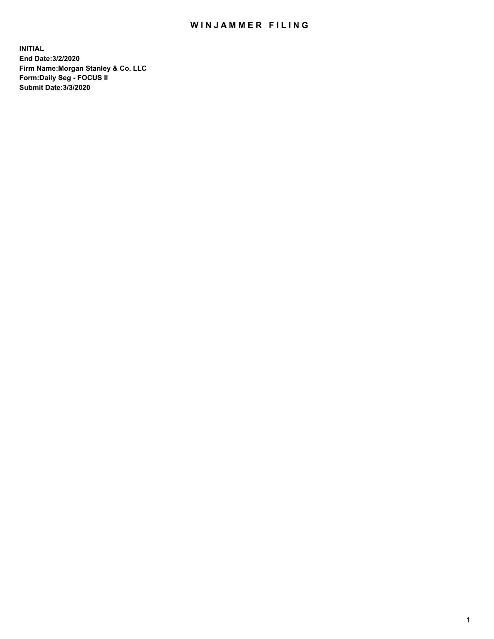## WIN JAMMER FILING

**INITIAL End Date:3/2/2020 Firm Name:Morgan Stanley & Co. LLC Form:Daily Seg - FOCUS II Submit Date:3/3/2020**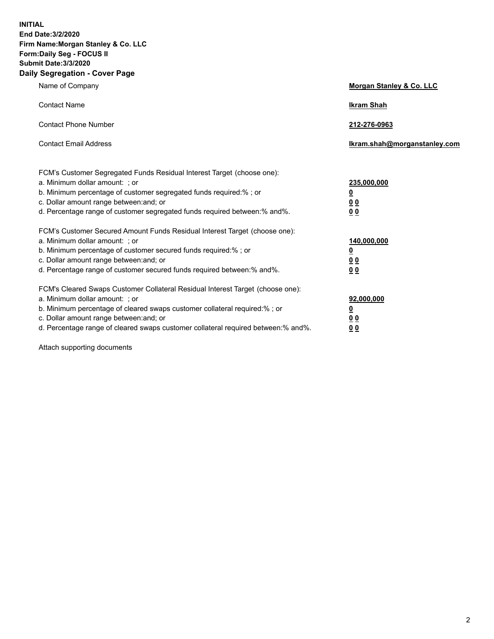**INITIAL End Date:3/2/2020 Firm Name:Morgan Stanley & Co. LLC Form:Daily Seg - FOCUS II Submit Date:3/3/2020 Daily Segregation - Cover Page**

| Name of Company                                                                   | Morgan Stanley & Co. LLC     |
|-----------------------------------------------------------------------------------|------------------------------|
| <b>Contact Name</b>                                                               | <b>Ikram Shah</b>            |
| <b>Contact Phone Number</b>                                                       | 212-276-0963                 |
| <b>Contact Email Address</b>                                                      | Ikram.shah@morganstanley.com |
| FCM's Customer Segregated Funds Residual Interest Target (choose one):            |                              |
| a. Minimum dollar amount: ; or                                                    | 235,000,000                  |
| b. Minimum percentage of customer segregated funds required:%; or                 | <u>0</u>                     |
| c. Dollar amount range between: and; or                                           | <u>00</u>                    |
| d. Percentage range of customer segregated funds required between:% and%.         | 0 Q                          |
| FCM's Customer Secured Amount Funds Residual Interest Target (choose one):        |                              |
| a. Minimum dollar amount: ; or                                                    | 140,000,000                  |
| b. Minimum percentage of customer secured funds required:%; or                    | <u>0</u>                     |
| c. Dollar amount range between: and; or                                           | <u>0 0</u>                   |
| d. Percentage range of customer secured funds required between: % and %.          | 0 Q                          |
| FCM's Cleared Swaps Customer Collateral Residual Interest Target (choose one):    |                              |
| a. Minimum dollar amount: ; or                                                    | 92,000,000                   |
| b. Minimum percentage of cleared swaps customer collateral required:% ; or        | <u>0</u>                     |
| c. Dollar amount range between: and; or                                           | 0 Q                          |
| d. Percentage range of cleared swaps customer collateral required between:% and%. | 0 <sub>0</sub>               |

Attach supporting documents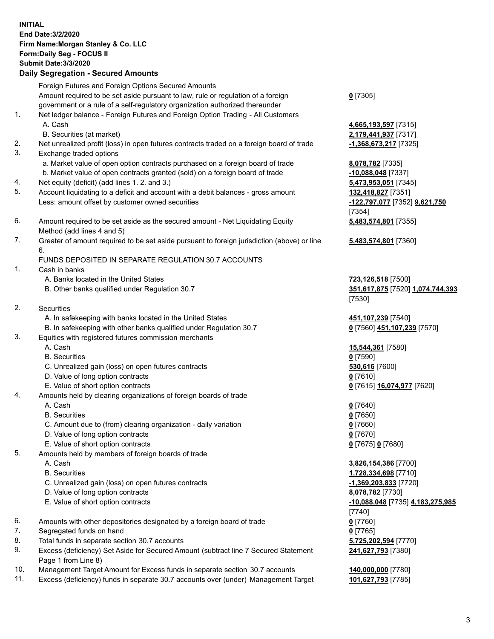| <b>INITIAL</b> | End Date: 3/2/2020<br>Firm Name: Morgan Stanley & Co. LLC<br>Form: Daily Seg - FOCUS II<br><b>Submit Date: 3/3/2020</b><br><b>Daily Segregation - Secured Amounts</b> |                                               |
|----------------|-----------------------------------------------------------------------------------------------------------------------------------------------------------------------|-----------------------------------------------|
|                | Foreign Futures and Foreign Options Secured Amounts                                                                                                                   |                                               |
|                | Amount required to be set aside pursuant to law, rule or regulation of a foreign                                                                                      | $0$ [7305]                                    |
| 1.             | government or a rule of a self-regulatory organization authorized thereunder<br>Net ledger balance - Foreign Futures and Foreign Option Trading - All Customers       |                                               |
|                | A. Cash                                                                                                                                                               | 4,665,193,597 [7315]                          |
|                | B. Securities (at market)                                                                                                                                             | 2,179,441,937 [7317]                          |
| 2.             | Net unrealized profit (loss) in open futures contracts traded on a foreign board of trade                                                                             | <u>-1,368,673,217</u> [7325]                  |
| 3.             | Exchange traded options                                                                                                                                               |                                               |
|                | a. Market value of open option contracts purchased on a foreign board of trade                                                                                        | 8,078,782 [7335]                              |
|                | b. Market value of open contracts granted (sold) on a foreign board of trade                                                                                          | $-10,088,048$ [7337]                          |
| 4.             | Net equity (deficit) (add lines 1. 2. and 3.)                                                                                                                         | 5,473,953,051 [7345]                          |
| 5.             | Account liquidating to a deficit and account with a debit balances - gross amount<br>Less: amount offset by customer owned securities                                 | 132,418,827 [7351]                            |
|                |                                                                                                                                                                       | -122,797,077 [7352] 9,621,750<br>[7354]       |
| 6.             | Amount required to be set aside as the secured amount - Net Liquidating Equity                                                                                        | 5,483,574,801 [7355]                          |
|                | Method (add lines 4 and 5)                                                                                                                                            |                                               |
| 7.             | Greater of amount required to be set aside pursuant to foreign jurisdiction (above) or line                                                                           | 5,483,574,801 [7360]                          |
|                | 6.                                                                                                                                                                    |                                               |
|                | FUNDS DEPOSITED IN SEPARATE REGULATION 30.7 ACCOUNTS                                                                                                                  |                                               |
| 1.             | Cash in banks                                                                                                                                                         |                                               |
|                | A. Banks located in the United States                                                                                                                                 | 723,126,518 [7500]                            |
|                | B. Other banks qualified under Regulation 30.7                                                                                                                        | 351,617,875 [7520] 1,074,744,393<br>[7530]    |
| 2.             | <b>Securities</b>                                                                                                                                                     |                                               |
|                | A. In safekeeping with banks located in the United States                                                                                                             | 451,107,239 [7540]                            |
|                | B. In safekeeping with other banks qualified under Regulation 30.7                                                                                                    | 0 [7560] 451,107,239 [7570]                   |
| 3.             | Equities with registered futures commission merchants                                                                                                                 |                                               |
|                | A. Cash                                                                                                                                                               | 15,544,361 [7580]                             |
|                | <b>B.</b> Securities                                                                                                                                                  | $0$ [7590]                                    |
|                | C. Unrealized gain (loss) on open futures contracts                                                                                                                   | 530,616 [7600]                                |
|                | D. Value of long option contracts<br>E. Value of short option contracts                                                                                               | $0$ [7610]<br>0 [7615] 16,074,977 [7620]      |
| 4.             | Amounts held by clearing organizations of foreign boards of trade                                                                                                     |                                               |
|                | A. Cash                                                                                                                                                               | $0$ [7640]                                    |
|                | <b>B.</b> Securities                                                                                                                                                  | $0$ [7650]                                    |
|                | C. Amount due to (from) clearing organization - daily variation                                                                                                       | $0$ [7660]                                    |
|                | D. Value of long option contracts                                                                                                                                     | $0$ [7670]                                    |
|                | E. Value of short option contracts                                                                                                                                    | 0 [7675] 0 [7680]                             |
| 5.             | Amounts held by members of foreign boards of trade                                                                                                                    |                                               |
|                | A. Cash<br><b>B.</b> Securities                                                                                                                                       | 3,826,154,386 [7700]                          |
|                | C. Unrealized gain (loss) on open futures contracts                                                                                                                   | 1,728,334,698 [7710]<br>-1,369,203,833 [7720] |
|                | D. Value of long option contracts                                                                                                                                     | 8,078,782 [7730]                              |
|                | E. Value of short option contracts                                                                                                                                    | -10,088,048 [7735] 4,183,275,985              |
|                |                                                                                                                                                                       | [7740]                                        |
| 6.             | Amounts with other depositories designated by a foreign board of trade                                                                                                | $0$ [7760]                                    |
| 7.             | Segregated funds on hand                                                                                                                                              | $0$ [7765]                                    |
| 8.             | Total funds in separate section 30.7 accounts                                                                                                                         | 5,725,202,594 [7770]                          |
| 9.             | Excess (deficiency) Set Aside for Secured Amount (subtract line 7 Secured Statement                                                                                   | 241,627,793 [7380]                            |
| 10.            | Page 1 from Line 8)<br>Management Target Amount for Excess funds in separate section 30.7 accounts                                                                    | 140,000,000 [7780]                            |
| 11.            | Excess (deficiency) funds in separate 30.7 accounts over (under) Management Target                                                                                    | 101,627,793 [7785]                            |
|                |                                                                                                                                                                       |                                               |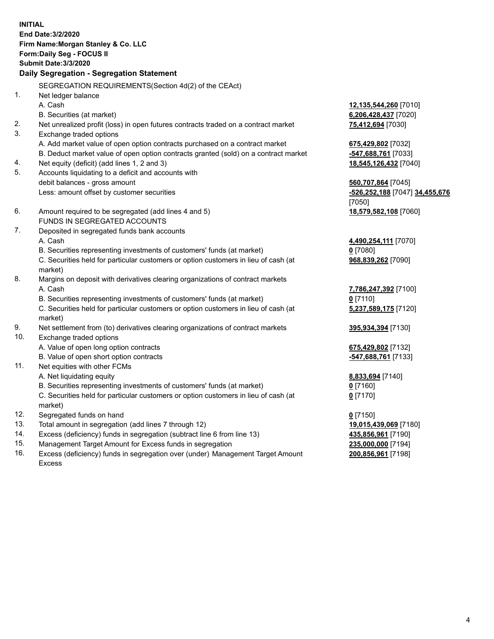**INITIAL End Date:3/2/2020 Firm Name:Morgan Stanley & Co. LLC Form:Daily Seg - FOCUS II Submit Date:3/3/2020 Daily Segregation - Segregation Statement** SEGREGATION REQUIREMENTS(Section 4d(2) of the CEAct) 1. Net ledger balance A. Cash **12,135,544,260** [7010] B. Securities (at market) **6,206,428,437** [7020] 2. Net unrealized profit (loss) in open futures contracts traded on a contract market **75,412,694** [7030] 3. Exchange traded options A. Add market value of open option contracts purchased on a contract market **675,429,802** [7032] B. Deduct market value of open option contracts granted (sold) on a contract market **-547,688,761** [7033] 4. Net equity (deficit) (add lines 1, 2 and 3) **18,545,126,432** [7040] 5. Accounts liquidating to a deficit and accounts with debit balances - gross amount **560,707,864** [7045] Less: amount offset by customer securities **-526,252,188** [7047] **34,455,676** [7050] 6. Amount required to be segregated (add lines 4 and 5) **18,579,582,108** [7060] FUNDS IN SEGREGATED ACCOUNTS 7. Deposited in segregated funds bank accounts A. Cash **4,490,254,111** [7070] B. Securities representing investments of customers' funds (at market) **0** [7080] C. Securities held for particular customers or option customers in lieu of cash (at market) **968,839,262** [7090] 8. Margins on deposit with derivatives clearing organizations of contract markets A. Cash **7,786,247,392** [7100] B. Securities representing investments of customers' funds (at market) **0** [7110] C. Securities held for particular customers or option customers in lieu of cash (at market) **5,237,589,175** [7120] 9. Net settlement from (to) derivatives clearing organizations of contract markets **395,934,394** [7130] 10. Exchange traded options A. Value of open long option contracts **675,429,802** [7132] B. Value of open short option contracts **and the set of our original contracts -547,688,761** [7133] 11. Net equities with other FCMs A. Net liquidating equity **8,833,694** [7140] B. Securities representing investments of customers' funds (at market) **0** [7160] C. Securities held for particular customers or option customers in lieu of cash (at market) **0** [7170] 12. Segregated funds on hand **0** [7150] 13. Total amount in segregation (add lines 7 through 12) **19,015,439,069** [7180] 14. Excess (deficiency) funds in segregation (subtract line 6 from line 13) **435,856,961** [7190]

- 15. Management Target Amount for Excess funds in segregation **235,000,000** [7194]
- 16. Excess (deficiency) funds in segregation over (under) Management Target Amount Excess

**200,856,961** [7198]